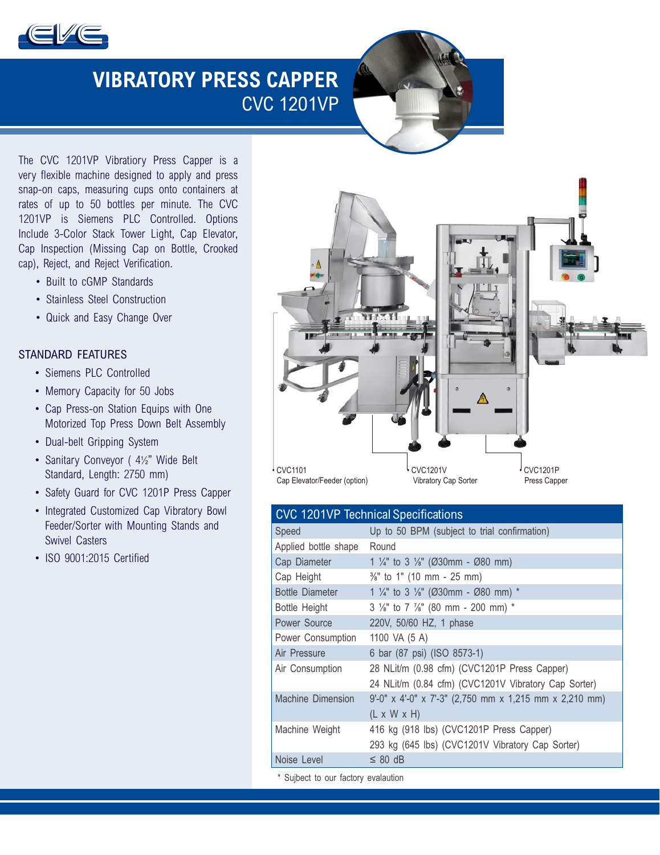

# **VIBRATORY PRESS CAPPER** CVC 1201VP

The CVC 1201VP Vibratiory Press Capper is a very flexible machine designed to apply and press snap-on caps, measuring cups onto containers at rates of up to 50 bottles per minute. The CVC 1201VP is Siemens PLC Controlled. Options Include 3-Color Stack Tower Light, Cap Elevator, Cap Inspection (Missing Cap on Bottle, Crooked cap), Reject, and Reject Verification.

- Built to cGMP Standards
- Stainless Steel Construction
- Quick and Easy Change Over

#### STANDARD FEATURES

- Siemens PLC Controlled
- Memory Capacity for 50 Jobs
- Cap Press-on Station Equips with One Motorized Top Press Down Belt Assembly
- Dual-belt Gripping System
- Sanitary Conveyor ( 4½" Wide Belt Standard, Length: 2750 mm)
- Safety Guard for CVC 1201P Press Capper
- Integrated Customized Cap Vibratory Bowl Feeder/Sorter with Mounting Stands and Swivel Casters
- ISO 9001:2015 Certified



| <b>CVC 1201VP Technical Specifications</b> |                                                                                                      |
|--------------------------------------------|------------------------------------------------------------------------------------------------------|
| Speed                                      | Up to 50 BPM (subject to trial confirmation)                                                         |
| Applied bottle shape                       | Round                                                                                                |
| Cap Diameter                               | 1 $\frac{1}{4}$ " to 3 $\frac{1}{8}$ " (Ø30mm - Ø80 mm)                                              |
| Cap Height                                 | $\frac{3}{8}$ " to 1" (10 mm - 25 mm)                                                                |
| <b>Bottle Diameter</b>                     | 1 $\frac{1}{4}$ " to 3 $\frac{1}{8}$ " (Ø30mm - Ø80 mm) *                                            |
| Bottle Height                              | 3 1/8" to 7 1/8" (80 mm - 200 mm) *                                                                  |
| Power Source                               | 220V, 50/60 HZ, 1 phase                                                                              |
| Power Consumption                          | 1100 VA (5 A)                                                                                        |
| Air Pressure                               | 6 bar (87 psi) (ISO 8573-1)                                                                          |
| Air Consumption                            | 28 NLit/m (0.98 cfm) (CVC1201P Press Capper)<br>24 NLit/m (0.84 cfm) (CVC1201V Vibratory Cap Sorter) |
| <b>Machine Dimension</b>                   | 9'-0" x 4'-0" x 7'-3" (2,750 mm x 1,215 mm x 2,210 mm)<br>$(L \times W \times H)$                    |
| Machine Weight                             | 416 kg (918 lbs) (CVC1201P Press Capper)                                                             |
|                                            | 293 kg (645 lbs) (CVC1201V Vibratory Cap Sorter)                                                     |
| Noise Level                                | $\leq$ 80 dB                                                                                         |
|                                            |                                                                                                      |

\* Sujbect to our factory evalaution